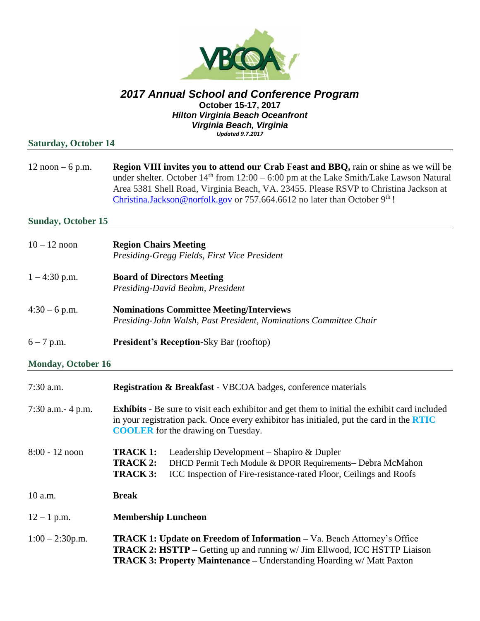

## *2017 Annual School and Conference Program* **October 15-17, 2017** *Hilton Virginia Beach Oceanfront Virginia Beach, Virginia Updated 9.7.2017*

**Saturday, October 14**

| $12$ noon $-6$ p.m.       | Region VIII invites you to attend our Crab Feast and BBQ, rain or shine as we will be<br>under shelter. October 14 <sup>th</sup> from 12:00 - 6:00 pm at the Lake Smith/Lake Lawson Natural<br>Area 5381 Shell Road, Virginia Beach, VA. 23455. Please RSVP to Christina Jackson at<br>Christina.Jackson@norfolk.gov or 757.664.6612 no later than October $9th$ ! |  |  |
|---------------------------|--------------------------------------------------------------------------------------------------------------------------------------------------------------------------------------------------------------------------------------------------------------------------------------------------------------------------------------------------------------------|--|--|
| <b>Sunday, October 15</b> |                                                                                                                                                                                                                                                                                                                                                                    |  |  |
| $10 - 12$ noon            | <b>Region Chairs Meeting</b><br>Presiding-Gregg Fields, First Vice President                                                                                                                                                                                                                                                                                       |  |  |
| $1 - 4:30$ p.m.           | <b>Board of Directors Meeting</b><br>Presiding-David Beahm, President                                                                                                                                                                                                                                                                                              |  |  |
| $4:30-6$ p.m.             | <b>Nominations Committee Meeting/Interviews</b><br>Presiding-John Walsh, Past President, Nominations Committee Chair                                                                                                                                                                                                                                               |  |  |
| $6 - 7$ p.m.              | <b>President's Reception-Sky Bar (rooftop)</b>                                                                                                                                                                                                                                                                                                                     |  |  |
| <b>Monday, October 16</b> |                                                                                                                                                                                                                                                                                                                                                                    |  |  |
| 7:30 a.m.                 | <b>Registration &amp; Breakfast</b> - VBCOA badges, conference materials                                                                                                                                                                                                                                                                                           |  |  |
| 7:30 a.m. $-4$ p.m.       | Exhibits - Be sure to visit each exhibitor and get them to initial the exhibit card included<br>in your registration pack. Once every exhibitor has initialed, put the card in the <b>RTIC</b><br><b>COOLER</b> for the drawing on Tuesday.                                                                                                                        |  |  |
| $8:00 - 12$ noon          | <b>TRACK 1:</b><br>Leadership Development – Shapiro & Dupler<br><b>TRACK 2:</b><br>DHCD Permit Tech Module & DPOR Requirements- Debra McMahon<br><b>TRACK 3:</b><br>ICC Inspection of Fire-resistance-rated Floor, Ceilings and Roofs                                                                                                                              |  |  |
| 10 a.m.                   | <b>Break</b>                                                                                                                                                                                                                                                                                                                                                       |  |  |
| $12 - 1$ p.m.             | <b>Membership Luncheon</b>                                                                                                                                                                                                                                                                                                                                         |  |  |
| $1:00 - 2:30p.m.$         | TRACK 1: Update on Freedom of Information - Va. Beach Attorney's Office<br><b>TRACK 2: HSTTP</b> – Getting up and running w/ Jim Ellwood, ICC HSTTP Liaison<br><b>TRACK 3: Property Maintenance</b> – Understanding Hoarding w/ Matt Paxton                                                                                                                        |  |  |